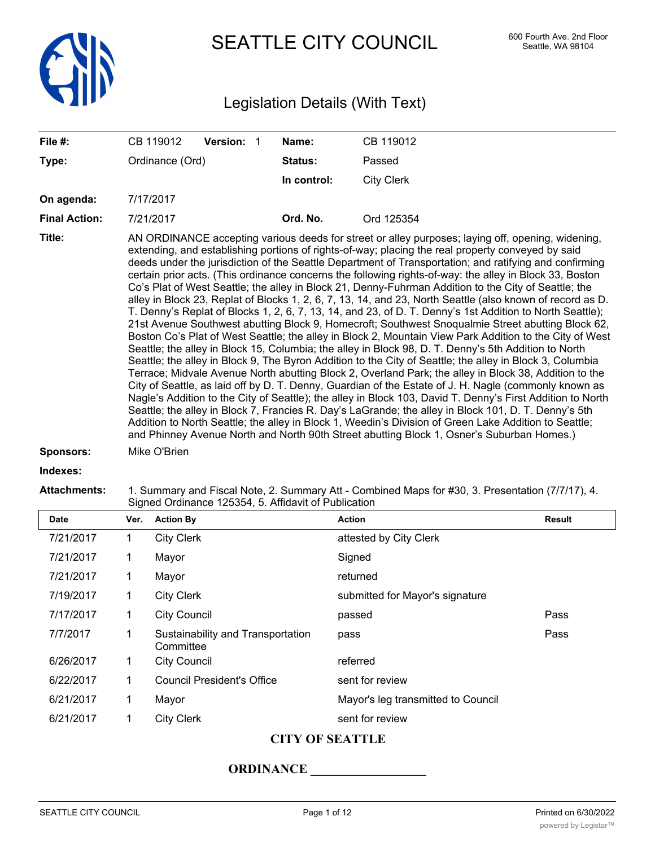

SEATTLE CITY COUNCIL 600 Fourth Ave. 2nd Floor

# Legislation Details (With Text)

| File #:              | Version: 1<br>CB 119012                                                                                                                                                                                                                                                                                                                                                                                                                                                                                                                                                                                                                                                                                                                                                                                                                                                                                                                                                                                                                                                                                                                                                                                                                                                                                                                                                                                                                                                                                                                                                                                                                                                                                                                                                                                                                        | Name:                                                                                            | CB 119012         |  |  |
|----------------------|------------------------------------------------------------------------------------------------------------------------------------------------------------------------------------------------------------------------------------------------------------------------------------------------------------------------------------------------------------------------------------------------------------------------------------------------------------------------------------------------------------------------------------------------------------------------------------------------------------------------------------------------------------------------------------------------------------------------------------------------------------------------------------------------------------------------------------------------------------------------------------------------------------------------------------------------------------------------------------------------------------------------------------------------------------------------------------------------------------------------------------------------------------------------------------------------------------------------------------------------------------------------------------------------------------------------------------------------------------------------------------------------------------------------------------------------------------------------------------------------------------------------------------------------------------------------------------------------------------------------------------------------------------------------------------------------------------------------------------------------------------------------------------------------------------------------------------------------|--------------------------------------------------------------------------------------------------|-------------------|--|--|
| Type:                | Ordinance (Ord)                                                                                                                                                                                                                                                                                                                                                                                                                                                                                                                                                                                                                                                                                                                                                                                                                                                                                                                                                                                                                                                                                                                                                                                                                                                                                                                                                                                                                                                                                                                                                                                                                                                                                                                                                                                                                                | Status:                                                                                          | Passed            |  |  |
|                      |                                                                                                                                                                                                                                                                                                                                                                                                                                                                                                                                                                                                                                                                                                                                                                                                                                                                                                                                                                                                                                                                                                                                                                                                                                                                                                                                                                                                                                                                                                                                                                                                                                                                                                                                                                                                                                                | In control:                                                                                      | <b>City Clerk</b> |  |  |
| On agenda:           | 7/17/2017                                                                                                                                                                                                                                                                                                                                                                                                                                                                                                                                                                                                                                                                                                                                                                                                                                                                                                                                                                                                                                                                                                                                                                                                                                                                                                                                                                                                                                                                                                                                                                                                                                                                                                                                                                                                                                      |                                                                                                  |                   |  |  |
| <b>Final Action:</b> | 7/21/2017                                                                                                                                                                                                                                                                                                                                                                                                                                                                                                                                                                                                                                                                                                                                                                                                                                                                                                                                                                                                                                                                                                                                                                                                                                                                                                                                                                                                                                                                                                                                                                                                                                                                                                                                                                                                                                      | Ord. No.                                                                                         | Ord 125354        |  |  |
| Title:               | AN ORDINANCE accepting various deeds for street or alley purposes; laying off, opening, widening,<br>extending, and establishing portions of rights-of-way; placing the real property conveyed by said<br>deeds under the jurisdiction of the Seattle Department of Transportation; and ratifying and confirming<br>certain prior acts. (This ordinance concerns the following rights-of-way: the alley in Block 33, Boston<br>Co's Plat of West Seattle; the alley in Block 21, Denny-Fuhrman Addition to the City of Seattle; the<br>alley in Block 23, Replat of Blocks 1, 2, 6, 7, 13, 14, and 23, North Seattle (also known of record as D.<br>T. Denny's Replat of Blocks 1, 2, 6, 7, 13, 14, and 23, of D. T. Denny's 1st Addition to North Seattle);<br>21st Avenue Southwest abutting Block 9, Homecroft; Southwest Snoqualmie Street abutting Block 62,<br>Boston Co's Plat of West Seattle; the alley in Block 2, Mountain View Park Addition to the City of West<br>Seattle; the alley in Block 15, Columbia; the alley in Block 98, D. T. Denny's 5th Addition to North<br>Seattle; the alley in Block 9, The Byron Addition to the City of Seattle; the alley in Block 3, Columbia<br>Terrace; Midvale Avenue North abutting Block 2, Overland Park; the alley in Block 38, Addition to the<br>City of Seattle, as laid off by D. T. Denny, Guardian of the Estate of J. H. Nagle (commonly known as<br>Nagle's Addition to the City of Seattle); the alley in Block 103, David T. Denny's First Addition to North<br>Seattle; the alley in Block 7, Francies R. Day's LaGrande; the alley in Block 101, D. T. Denny's 5th<br>Addition to North Seattle; the alley in Block 1, Weedin's Division of Green Lake Addition to Seattle;<br>and Phinney Avenue North and North 90th Street abutting Block 1, Osner's Suburban Homes.) |                                                                                                  |                   |  |  |
| <b>Sponsors:</b>     | Mike O'Brien                                                                                                                                                                                                                                                                                                                                                                                                                                                                                                                                                                                                                                                                                                                                                                                                                                                                                                                                                                                                                                                                                                                                                                                                                                                                                                                                                                                                                                                                                                                                                                                                                                                                                                                                                                                                                                   |                                                                                                  |                   |  |  |
| Indexes:             |                                                                                                                                                                                                                                                                                                                                                                                                                                                                                                                                                                                                                                                                                                                                                                                                                                                                                                                                                                                                                                                                                                                                                                                                                                                                                                                                                                                                                                                                                                                                                                                                                                                                                                                                                                                                                                                |                                                                                                  |                   |  |  |
| <b>Attachments:</b>  | Signed Ordinance 125354, 5. Affidavit of Publication                                                                                                                                                                                                                                                                                                                                                                                                                                                                                                                                                                                                                                                                                                                                                                                                                                                                                                                                                                                                                                                                                                                                                                                                                                                                                                                                                                                                                                                                                                                                                                                                                                                                                                                                                                                           | 1. Summary and Fiscal Note, 2. Summary Att - Combined Maps for #30, 3. Presentation (7/7/17), 4. |                   |  |  |

| <b>Date</b> | Ver. | <b>Action By</b>                               | <b>Action</b>                      | <b>Result</b> |
|-------------|------|------------------------------------------------|------------------------------------|---------------|
| 7/21/2017   | 1    | <b>City Clerk</b>                              | attested by City Clerk             |               |
| 7/21/2017   | 1    | Mayor                                          | Signed                             |               |
| 7/21/2017   | 1    | Mayor                                          | returned                           |               |
| 7/19/2017   | 1    | <b>City Clerk</b>                              | submitted for Mayor's signature    |               |
| 7/17/2017   | 1    | <b>City Council</b>                            | passed                             | Pass          |
| 7/7/2017    | 1    | Sustainability and Transportation<br>Committee | pass                               | Pass          |
| 6/26/2017   | 1    | <b>City Council</b>                            | referred                           |               |
| 6/22/2017   | 1    | Council President's Office                     | sent for review                    |               |
| 6/21/2017   | 1    | Mayor                                          | Mayor's leg transmitted to Council |               |
| 6/21/2017   | 1    | <b>City Clerk</b>                              | sent for review                    |               |

# **CITY OF SEATTLE**

## **ORDINANCE \_\_\_\_\_\_\_\_\_\_\_\_\_\_\_\_\_\_**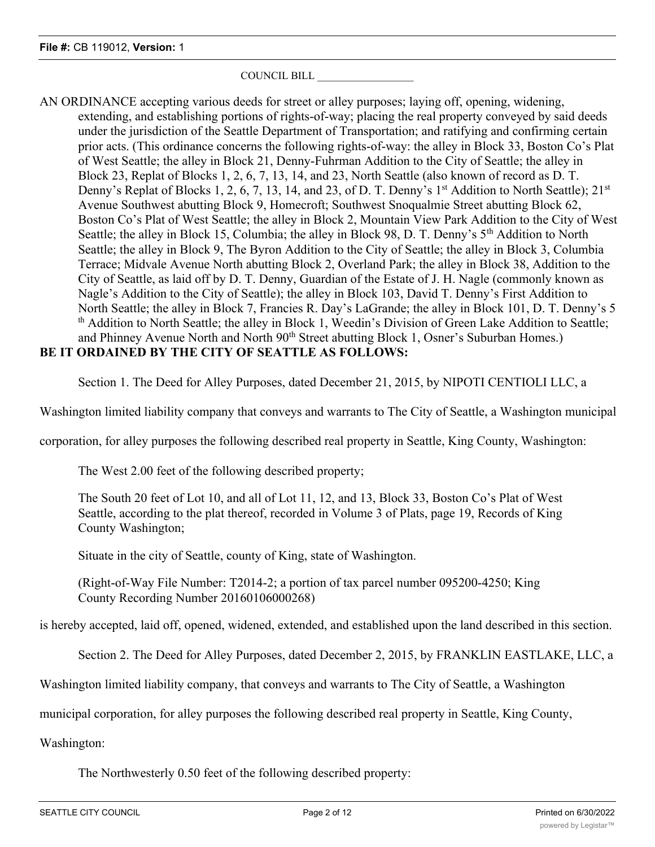## COUNCIL BILL \_\_\_\_\_\_\_\_\_\_\_\_\_\_\_\_\_\_

AN ORDINANCE accepting various deeds for street or alley purposes; laying off, opening, widening, extending, and establishing portions of rights-of-way; placing the real property conveyed by said deeds under the jurisdiction of the Seattle Department of Transportation; and ratifying and confirming certain prior acts. (This ordinance concerns the following rights-of-way: the alley in Block 33, Boston Co's Plat of West Seattle; the alley in Block 21, Denny-Fuhrman Addition to the City of Seattle; the alley in Block 23, Replat of Blocks 1, 2, 6, 7, 13, 14, and 23, North Seattle (also known of record as D. T. Denny's Replat of Blocks 1, 2, 6, 7, 13, 14, and 23, of D. T. Denny's 1<sup>st</sup> Addition to North Seattle);  $21^{st}$ Avenue Southwest abutting Block 9, Homecroft; Southwest Snoqualmie Street abutting Block 62, Boston Co's Plat of West Seattle; the alley in Block 2, Mountain View Park Addition to the City of West Seattle; the alley in Block 15, Columbia; the alley in Block 98, D. T. Denny's  $5<sup>th</sup>$  Addition to North Seattle; the alley in Block 9, The Byron Addition to the City of Seattle; the alley in Block 3, Columbia Terrace; Midvale Avenue North abutting Block 2, Overland Park; the alley in Block 38, Addition to the City of Seattle, as laid off by D. T. Denny, Guardian of the Estate of J. H. Nagle (commonly known as Nagle's Addition to the City of Seattle); the alley in Block 103, David T. Denny's First Addition to North Seattle; the alley in Block 7, Francies R. Day's LaGrande; the alley in Block 101, D. T. Denny's 5 th Addition to North Seattle; the alley in Block 1, Weedin's Division of Green Lake Addition to Seattle; and Phinney Avenue North and North 90<sup>th</sup> Street abutting Block 1, Osner's Suburban Homes.) **BE IT ORDAINED BY THE CITY OF SEATTLE AS FOLLOWS:**

Section 1. The Deed for Alley Purposes, dated December 21, 2015, by NIPOTI CENTIOLI LLC, a

Washington limited liability company that conveys and warrants to The City of Seattle, a Washington municipal

corporation, for alley purposes the following described real property in Seattle, King County, Washington:

The West 2.00 feet of the following described property;

The South 20 feet of Lot 10, and all of Lot 11, 12, and 13, Block 33, Boston Co's Plat of West Seattle, according to the plat thereof, recorded in Volume 3 of Plats, page 19, Records of King County Washington;

Situate in the city of Seattle, county of King, state of Washington.

(Right-of-Way File Number: T2014-2; a portion of tax parcel number 095200-4250; King County Recording Number 20160106000268)

is hereby accepted, laid off, opened, widened, extended, and established upon the land described in this section.

Section 2. The Deed for Alley Purposes, dated December 2, 2015, by FRANKLIN EASTLAKE, LLC, a

Washington limited liability company, that conveys and warrants to The City of Seattle, a Washington

municipal corporation, for alley purposes the following described real property in Seattle, King County,

Washington:

The Northwesterly 0.50 feet of the following described property: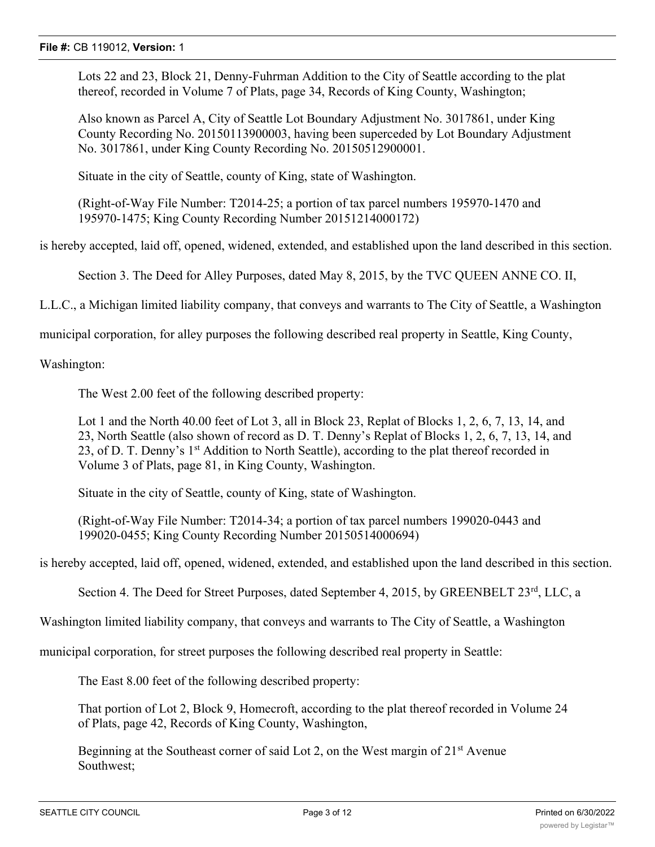Lots 22 and 23, Block 21, Denny-Fuhrman Addition to the City of Seattle according to the plat thereof, recorded in Volume 7 of Plats, page 34, Records of King County, Washington;

Also known as Parcel A, City of Seattle Lot Boundary Adjustment No. 3017861, under King County Recording No. 20150113900003, having been superceded by Lot Boundary Adjustment No. 3017861, under King County Recording No. 20150512900001.

Situate in the city of Seattle, county of King, state of Washington.

(Right-of-Way File Number: T2014-25; a portion of tax parcel numbers 195970-1470 and 195970-1475; King County Recording Number 20151214000172)

is hereby accepted, laid off, opened, widened, extended, and established upon the land described in this section.

Section 3. The Deed for Alley Purposes, dated May 8, 2015, by the TVC QUEEN ANNE CO. II,

L.L.C., a Michigan limited liability company, that conveys and warrants to The City of Seattle, a Washington

municipal corporation, for alley purposes the following described real property in Seattle, King County,

Washington:

The West 2.00 feet of the following described property:

Lot 1 and the North 40.00 feet of Lot 3, all in Block 23, Replat of Blocks 1, 2, 6, 7, 13, 14, and 23, North Seattle (also shown of record as D. T. Denny's Replat of Blocks 1, 2, 6, 7, 13, 14, and 23, of D. T. Denny's 1<sup>st</sup> Addition to North Seattle), according to the plat thereof recorded in Volume 3 of Plats, page 81, in King County, Washington.

Situate in the city of Seattle, county of King, state of Washington.

(Right-of-Way File Number: T2014-34; a portion of tax parcel numbers 199020-0443 and 199020-0455; King County Recording Number 20150514000694)

is hereby accepted, laid off, opened, widened, extended, and established upon the land described in this section.

Section 4. The Deed for Street Purposes, dated September 4, 2015, by GREENBELT 23<sup>rd</sup>, LLC, a

Washington limited liability company, that conveys and warrants to The City of Seattle, a Washington

municipal corporation, for street purposes the following described real property in Seattle:

The East 8.00 feet of the following described property:

That portion of Lot 2, Block 9, Homecroft, according to the plat thereof recorded in Volume 24 of Plats, page 42, Records of King County, Washington,

Beginning at the Southeast corner of said Lot 2, on the West margin of  $21<sup>st</sup>$  Avenue Southwest;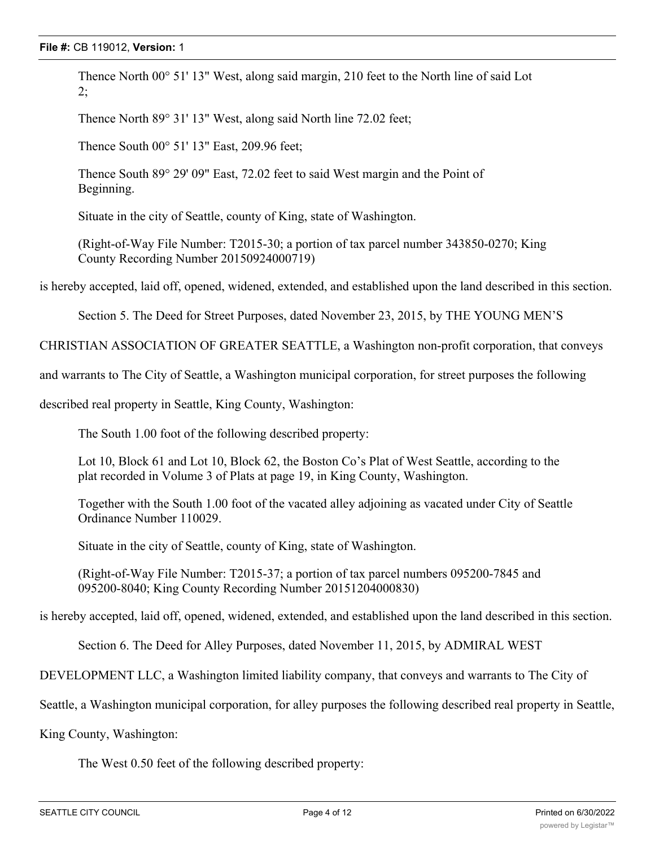Thence North 00° 51' 13" West, along said margin, 210 feet to the North line of said Lot 2;

Thence North 89° 31' 13" West, along said North line 72.02 feet;

Thence South 00° 51' 13" East, 209.96 feet;

Thence South 89° 29' 09" East, 72.02 feet to said West margin and the Point of Beginning.

Situate in the city of Seattle, county of King, state of Washington.

(Right-of-Way File Number: T2015-30; a portion of tax parcel number 343850-0270; King County Recording Number 20150924000719)

is hereby accepted, laid off, opened, widened, extended, and established upon the land described in this section.

Section 5. The Deed for Street Purposes, dated November 23, 2015, by THE YOUNG MEN'S

CHRISTIAN ASSOCIATION OF GREATER SEATTLE, a Washington non-profit corporation, that conveys

and warrants to The City of Seattle, a Washington municipal corporation, for street purposes the following

described real property in Seattle, King County, Washington:

The South 1.00 foot of the following described property:

Lot 10, Block 61 and Lot 10, Block 62, the Boston Co's Plat of West Seattle, according to the plat recorded in Volume 3 of Plats at page 19, in King County, Washington.

Together with the South 1.00 foot of the vacated alley adjoining as vacated under City of Seattle Ordinance Number 110029.

Situate in the city of Seattle, county of King, state of Washington.

(Right-of-Way File Number: T2015-37; a portion of tax parcel numbers 095200-7845 and 095200-8040; King County Recording Number 20151204000830)

is hereby accepted, laid off, opened, widened, extended, and established upon the land described in this section.

Section 6. The Deed for Alley Purposes, dated November 11, 2015, by ADMIRAL WEST

DEVELOPMENT LLC, a Washington limited liability company, that conveys and warrants to The City of

Seattle, a Washington municipal corporation, for alley purposes the following described real property in Seattle,

King County, Washington:

The West 0.50 feet of the following described property: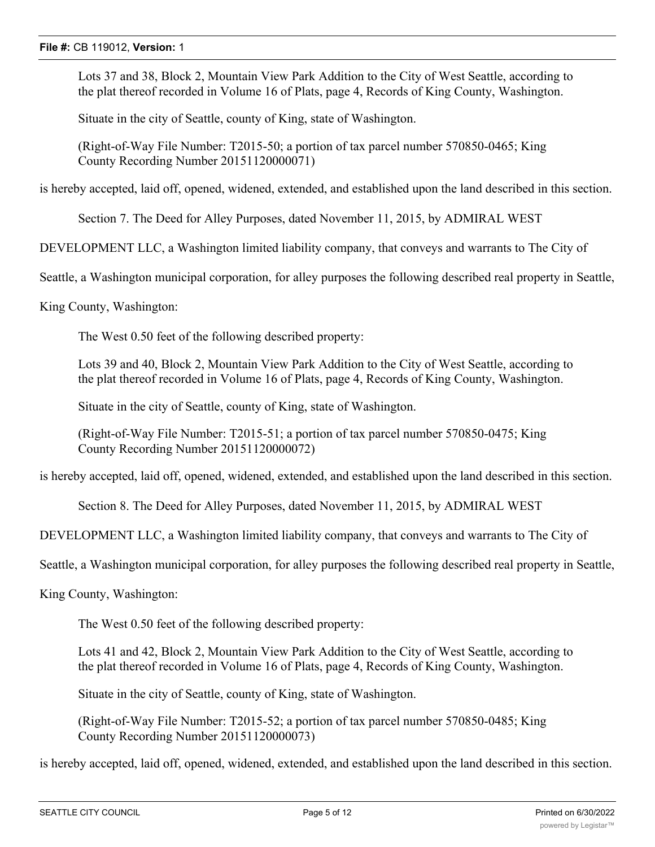Lots 37 and 38, Block 2, Mountain View Park Addition to the City of West Seattle, according to the plat thereof recorded in Volume 16 of Plats, page 4, Records of King County, Washington.

Situate in the city of Seattle, county of King, state of Washington.

(Right-of-Way File Number: T2015-50; a portion of tax parcel number 570850-0465; King County Recording Number 20151120000071)

is hereby accepted, laid off, opened, widened, extended, and established upon the land described in this section.

Section 7. The Deed for Alley Purposes, dated November 11, 2015, by ADMIRAL WEST

DEVELOPMENT LLC, a Washington limited liability company, that conveys and warrants to The City of

Seattle, a Washington municipal corporation, for alley purposes the following described real property in Seattle,

King County, Washington:

The West 0.50 feet of the following described property:

Lots 39 and 40, Block 2, Mountain View Park Addition to the City of West Seattle, according to the plat thereof recorded in Volume 16 of Plats, page 4, Records of King County, Washington.

Situate in the city of Seattle, county of King, state of Washington.

(Right-of-Way File Number: T2015-51; a portion of tax parcel number 570850-0475; King County Recording Number 20151120000072)

is hereby accepted, laid off, opened, widened, extended, and established upon the land described in this section.

Section 8. The Deed for Alley Purposes, dated November 11, 2015, by ADMIRAL WEST

DEVELOPMENT LLC, a Washington limited liability company, that conveys and warrants to The City of

Seattle, a Washington municipal corporation, for alley purposes the following described real property in Seattle,

King County, Washington:

The West 0.50 feet of the following described property:

Lots 41 and 42, Block 2, Mountain View Park Addition to the City of West Seattle, according to the plat thereof recorded in Volume 16 of Plats, page 4, Records of King County, Washington.

Situate in the city of Seattle, county of King, state of Washington.

(Right-of-Way File Number: T2015-52; a portion of tax parcel number 570850-0485; King County Recording Number 20151120000073)

is hereby accepted, laid off, opened, widened, extended, and established upon the land described in this section.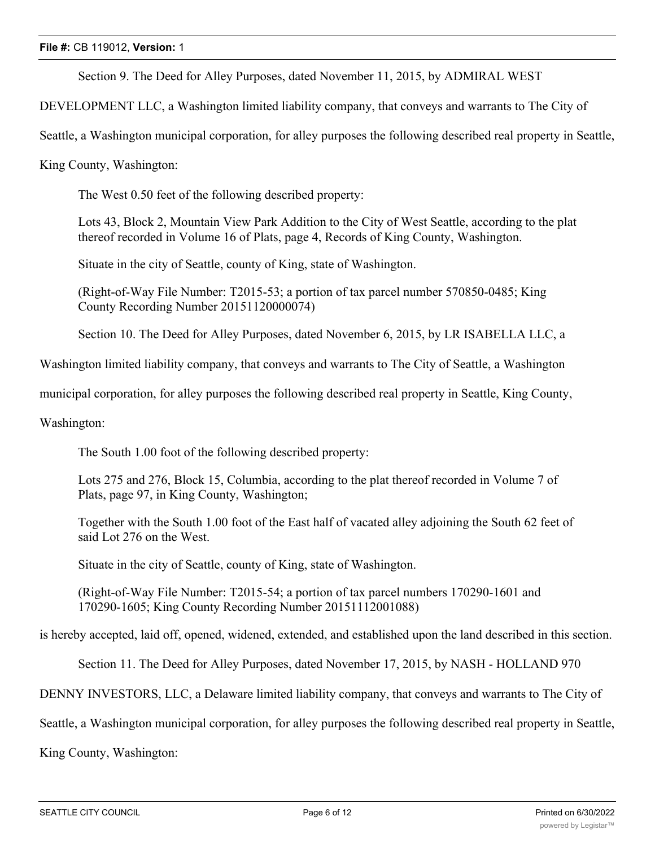Section 9. The Deed for Alley Purposes, dated November 11, 2015, by ADMIRAL WEST

DEVELOPMENT LLC, a Washington limited liability company, that conveys and warrants to The City of

Seattle, a Washington municipal corporation, for alley purposes the following described real property in Seattle,

King County, Washington:

The West 0.50 feet of the following described property:

Lots 43, Block 2, Mountain View Park Addition to the City of West Seattle, according to the plat thereof recorded in Volume 16 of Plats, page 4, Records of King County, Washington.

Situate in the city of Seattle, county of King, state of Washington.

(Right-of-Way File Number: T2015-53; a portion of tax parcel number 570850-0485; King County Recording Number 20151120000074)

Section 10. The Deed for Alley Purposes, dated November 6, 2015, by LR ISABELLA LLC, a

Washington limited liability company, that conveys and warrants to The City of Seattle, a Washington

municipal corporation, for alley purposes the following described real property in Seattle, King County,

Washington:

The South 1.00 foot of the following described property:

Lots 275 and 276, Block 15, Columbia, according to the plat thereof recorded in Volume 7 of Plats, page 97, in King County, Washington;

Together with the South 1.00 foot of the East half of vacated alley adjoining the South 62 feet of said Lot 276 on the West.

Situate in the city of Seattle, county of King, state of Washington.

(Right-of-Way File Number: T2015-54; a portion of tax parcel numbers 170290-1601 and 170290-1605; King County Recording Number 20151112001088)

is hereby accepted, laid off, opened, widened, extended, and established upon the land described in this section.

Section 11. The Deed for Alley Purposes, dated November 17, 2015, by NASH - HOLLAND 970

DENNY INVESTORS, LLC, a Delaware limited liability company, that conveys and warrants to The City of

Seattle, a Washington municipal corporation, for alley purposes the following described real property in Seattle,

King County, Washington: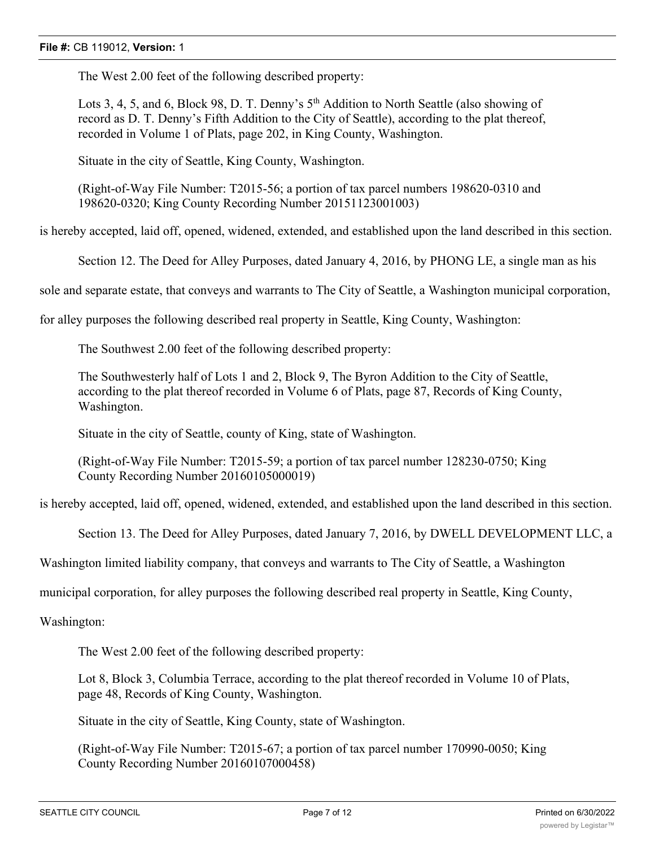#### **File #:** CB 119012, **Version:** 1

The West 2.00 feet of the following described property:

Lots 3, 4, 5, and 6, Block 98, D. T. Denny's 5<sup>th</sup> Addition to North Seattle (also showing of record as D. T. Denny's Fifth Addition to the City of Seattle), according to the plat thereof, recorded in Volume 1 of Plats, page 202, in King County, Washington.

Situate in the city of Seattle, King County, Washington.

(Right-of-Way File Number: T2015-56; a portion of tax parcel numbers 198620-0310 and 198620-0320; King County Recording Number 20151123001003)

is hereby accepted, laid off, opened, widened, extended, and established upon the land described in this section.

Section 12. The Deed for Alley Purposes, dated January 4, 2016, by PHONG LE, a single man as his

sole and separate estate, that conveys and warrants to The City of Seattle, a Washington municipal corporation,

for alley purposes the following described real property in Seattle, King County, Washington:

The Southwest 2.00 feet of the following described property:

The Southwesterly half of Lots 1 and 2, Block 9, The Byron Addition to the City of Seattle, according to the plat thereof recorded in Volume 6 of Plats, page 87, Records of King County, Washington.

Situate in the city of Seattle, county of King, state of Washington.

(Right-of-Way File Number: T2015-59; a portion of tax parcel number 128230-0750; King County Recording Number 20160105000019)

is hereby accepted, laid off, opened, widened, extended, and established upon the land described in this section.

Section 13. The Deed for Alley Purposes, dated January 7, 2016, by DWELL DEVELOPMENT LLC, a

Washington limited liability company, that conveys and warrants to The City of Seattle, a Washington

municipal corporation, for alley purposes the following described real property in Seattle, King County,

Washington:

The West 2.00 feet of the following described property:

Lot 8, Block 3, Columbia Terrace, according to the plat thereof recorded in Volume 10 of Plats, page 48, Records of King County, Washington.

Situate in the city of Seattle, King County, state of Washington.

(Right-of-Way File Number: T2015-67; a portion of tax parcel number 170990-0050; King County Recording Number 20160107000458)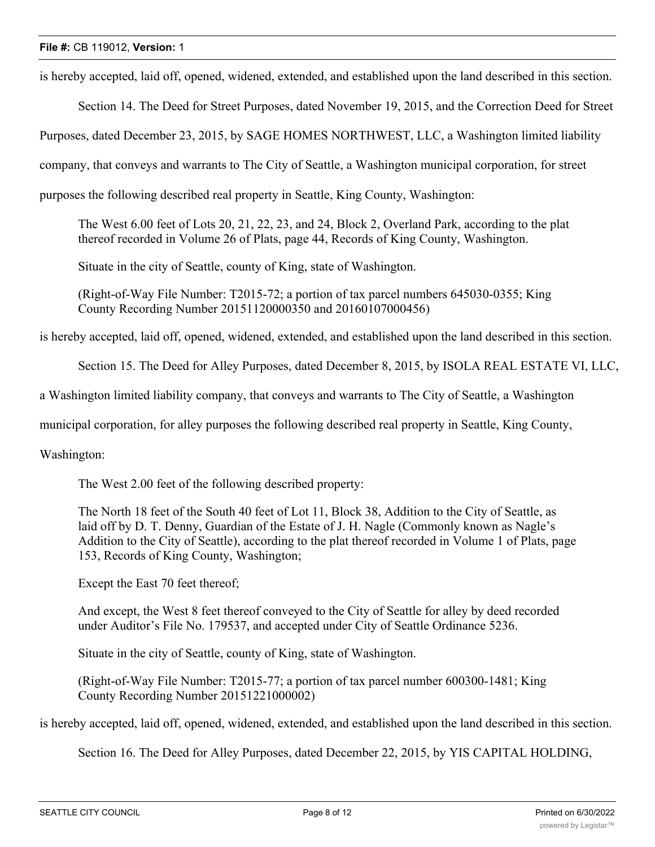is hereby accepted, laid off, opened, widened, extended, and established upon the land described in this section.

Section 14. The Deed for Street Purposes, dated November 19, 2015, and the Correction Deed for Street

Purposes, dated December 23, 2015, by SAGE HOMES NORTHWEST, LLC, a Washington limited liability

company, that conveys and warrants to The City of Seattle, a Washington municipal corporation, for street

purposes the following described real property in Seattle, King County, Washington:

The West 6.00 feet of Lots 20, 21, 22, 23, and 24, Block 2, Overland Park, according to the plat thereof recorded in Volume 26 of Plats, page 44, Records of King County, Washington.

Situate in the city of Seattle, county of King, state of Washington.

(Right-of-Way File Number: T2015-72; a portion of tax parcel numbers 645030-0355; King County Recording Number 20151120000350 and 20160107000456)

is hereby accepted, laid off, opened, widened, extended, and established upon the land described in this section.

Section 15. The Deed for Alley Purposes, dated December 8, 2015, by ISOLA REAL ESTATE VI, LLC,

a Washington limited liability company, that conveys and warrants to The City of Seattle, a Washington

municipal corporation, for alley purposes the following described real property in Seattle, King County,

Washington:

The West 2.00 feet of the following described property:

The North 18 feet of the South 40 feet of Lot 11, Block 38, Addition to the City of Seattle, as laid off by D. T. Denny, Guardian of the Estate of J. H. Nagle (Commonly known as Nagle's Addition to the City of Seattle), according to the plat thereof recorded in Volume 1 of Plats, page 153, Records of King County, Washington;

Except the East 70 feet thereof;

And except, the West 8 feet thereof conveyed to the City of Seattle for alley by deed recorded under Auditor's File No. 179537, and accepted under City of Seattle Ordinance 5236.

Situate in the city of Seattle, county of King, state of Washington.

(Right-of-Way File Number: T2015-77; a portion of tax parcel number 600300-1481; King County Recording Number 20151221000002)

is hereby accepted, laid off, opened, widened, extended, and established upon the land described in this section.

Section 16. The Deed for Alley Purposes, dated December 22, 2015, by YIS CAPITAL HOLDING,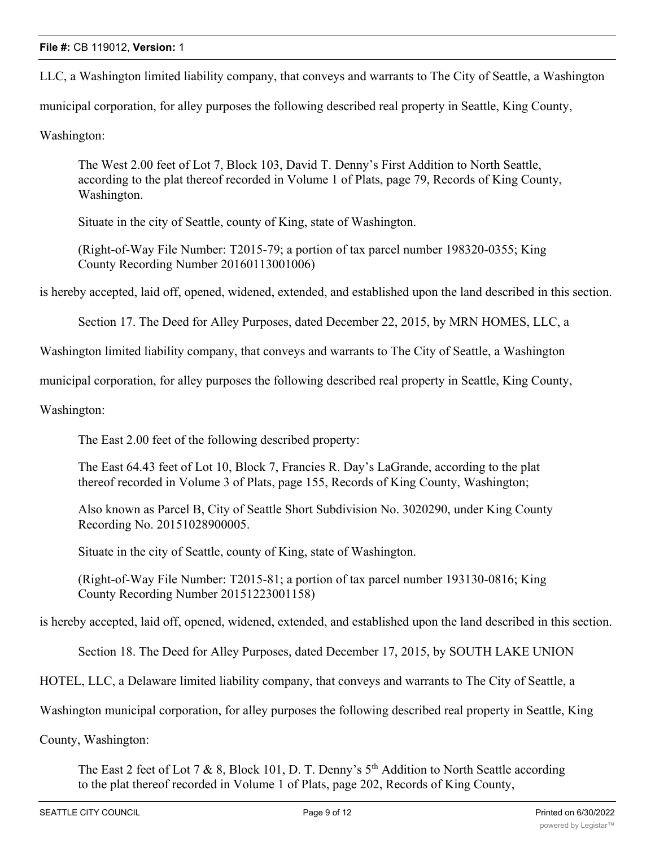LLC, a Washington limited liability company, that conveys and warrants to The City of Seattle, a Washington

municipal corporation, for alley purposes the following described real property in Seattle, King County,

Washington:

The West 2.00 feet of Lot 7, Block 103, David T. Denny's First Addition to North Seattle, according to the plat thereof recorded in Volume 1 of Plats, page 79, Records of King County, Washington.

Situate in the city of Seattle, county of King, state of Washington.

(Right-of-Way File Number: T2015-79; a portion of tax parcel number 198320-0355; King County Recording Number 20160113001006)

is hereby accepted, laid off, opened, widened, extended, and established upon the land described in this section.

Section 17. The Deed for Alley Purposes, dated December 22, 2015, by MRN HOMES, LLC, a

Washington limited liability company, that conveys and warrants to The City of Seattle, a Washington

municipal corporation, for alley purposes the following described real property in Seattle, King County,

Washington:

The East 2.00 feet of the following described property:

The East 64.43 feet of Lot 10, Block 7, Francies R. Day's LaGrande, according to the plat thereof recorded in Volume 3 of Plats, page 155, Records of King County, Washington;

Also known as Parcel B, City of Seattle Short Subdivision No. 3020290, under King County Recording No. 20151028900005.

Situate in the city of Seattle, county of King, state of Washington.

(Right-of-Way File Number: T2015-81; a portion of tax parcel number 193130-0816; King County Recording Number 20151223001158)

is hereby accepted, laid off, opened, widened, extended, and established upon the land described in this section.

Section 18. The Deed for Alley Purposes, dated December 17, 2015, by SOUTH LAKE UNION

HOTEL, LLC, a Delaware limited liability company, that conveys and warrants to The City of Seattle, a

Washington municipal corporation, for alley purposes the following described real property in Seattle, King

County, Washington:

The East 2 feet of Lot 7 & 8, Block 101, D. T. Denny's  $5<sup>th</sup>$  Addition to North Seattle according to the plat thereof recorded in Volume 1 of Plats, page 202, Records of King County,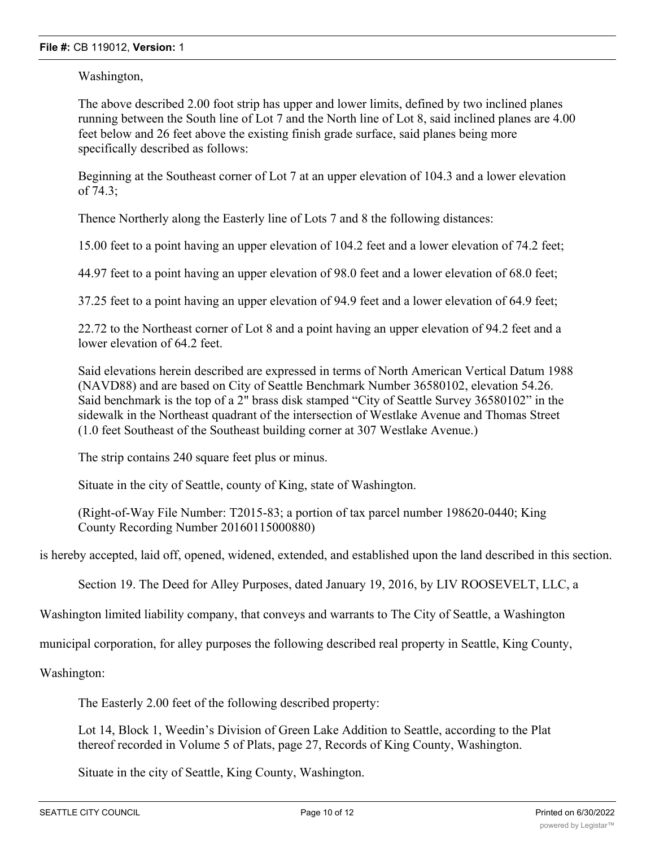Washington,

The above described 2.00 foot strip has upper and lower limits, defined by two inclined planes running between the South line of Lot 7 and the North line of Lot 8, said inclined planes are 4.00 feet below and 26 feet above the existing finish grade surface, said planes being more specifically described as follows:

Beginning at the Southeast corner of Lot 7 at an upper elevation of 104.3 and a lower elevation of 74.3;

Thence Northerly along the Easterly line of Lots 7 and 8 the following distances:

15.00 feet to a point having an upper elevation of 104.2 feet and a lower elevation of 74.2 feet;

44.97 feet to a point having an upper elevation of 98.0 feet and a lower elevation of 68.0 feet;

37.25 feet to a point having an upper elevation of 94.9 feet and a lower elevation of 64.9 feet;

22.72 to the Northeast corner of Lot 8 and a point having an upper elevation of 94.2 feet and a lower elevation of 64.2 feet.

Said elevations herein described are expressed in terms of North American Vertical Datum 1988 (NAVD88) and are based on City of Seattle Benchmark Number 36580102, elevation 54.26. Said benchmark is the top of a 2" brass disk stamped "City of Seattle Survey 36580102" in the sidewalk in the Northeast quadrant of the intersection of Westlake Avenue and Thomas Street (1.0 feet Southeast of the Southeast building corner at 307 Westlake Avenue.)

The strip contains 240 square feet plus or minus.

Situate in the city of Seattle, county of King, state of Washington.

(Right-of-Way File Number: T2015-83; a portion of tax parcel number 198620-0440; King County Recording Number 20160115000880)

is hereby accepted, laid off, opened, widened, extended, and established upon the land described in this section.

Section 19. The Deed for Alley Purposes, dated January 19, 2016, by LIV ROOSEVELT, LLC, a

Washington limited liability company, that conveys and warrants to The City of Seattle, a Washington

municipal corporation, for alley purposes the following described real property in Seattle, King County,

Washington:

The Easterly 2.00 feet of the following described property:

Lot 14, Block 1, Weedin's Division of Green Lake Addition to Seattle, according to the Plat thereof recorded in Volume 5 of Plats, page 27, Records of King County, Washington.

Situate in the city of Seattle, King County, Washington.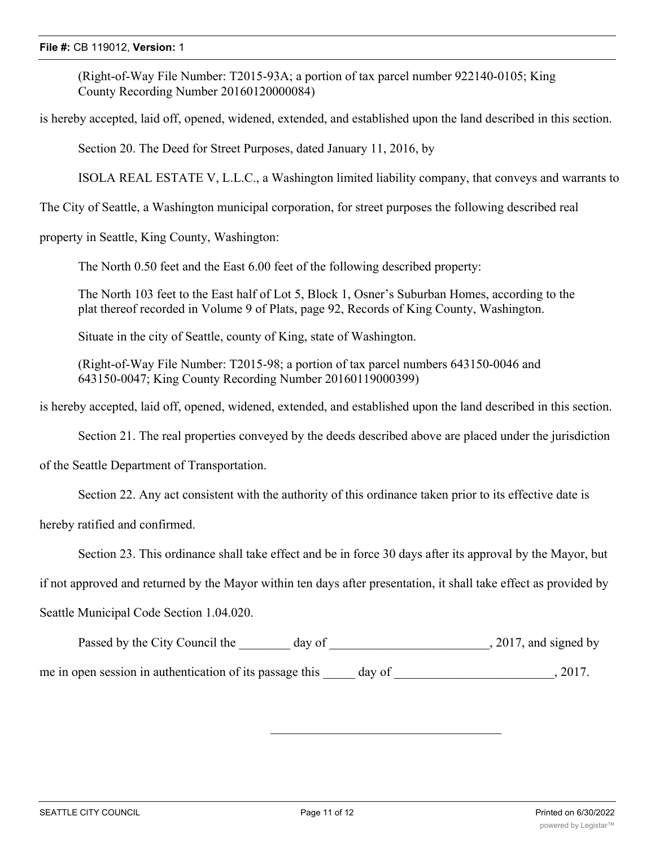### **File #:** CB 119012, **Version:** 1

(Right-of-Way File Number: T2015-93A; a portion of tax parcel number 922140-0105; King County Recording Number 20160120000084)

is hereby accepted, laid off, opened, widened, extended, and established upon the land described in this section.

Section 20. The Deed for Street Purposes, dated January 11, 2016, by

ISOLA REAL ESTATE V, L.L.C., a Washington limited liability company, that conveys and warrants to

The City of Seattle, a Washington municipal corporation, for street purposes the following described real

property in Seattle, King County, Washington:

The North 0.50 feet and the East 6.00 feet of the following described property:

The North 103 feet to the East half of Lot 5, Block 1, Osner's Suburban Homes, according to the plat thereof recorded in Volume 9 of Plats, page 92, Records of King County, Washington.

Situate in the city of Seattle, county of King, state of Washington.

(Right-of-Way File Number: T2015-98; a portion of tax parcel numbers 643150-0046 and 643150-0047; King County Recording Number 20160119000399)

is hereby accepted, laid off, opened, widened, extended, and established upon the land described in this section.

Section 21. The real properties conveyed by the deeds described above are placed under the jurisdiction

of the Seattle Department of Transportation.

Section 22. Any act consistent with the authority of this ordinance taken prior to its effective date is

hereby ratified and confirmed.

Section 23. This ordinance shall take effect and be in force 30 days after its approval by the Mayor, but

if not approved and returned by the Mayor within ten days after presentation, it shall take effect as provided by

Seattle Municipal Code Section 1.04.020.

Passed by the City Council the \_\_\_\_\_\_\_ day of \_\_\_\_\_\_\_\_\_\_\_\_\_\_\_\_\_\_\_\_\_\_\_\_, 2017, and signed by

me in open session in authentication of its passage this \_\_\_\_\_\_ day of  $\qquad \qquad$ , 2017.